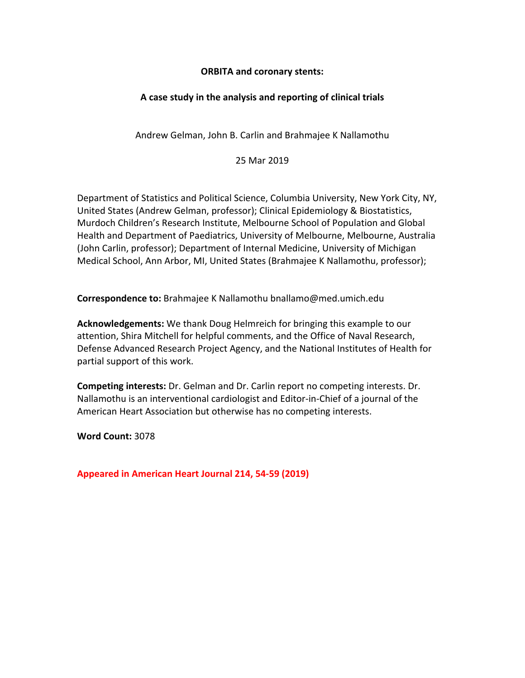#### **ORBITA and coronary stents:**

### **A case study in the analysis and reporting of clinical trials**

Andrew Gelman, John B. Carlin and Brahmajee K Nallamothu

25 Mar 2019

Department of Statistics and Political Science, Columbia University, New York City, NY, United States (Andrew Gelman, professor); Clinical Epidemiology & Biostatistics, Murdoch Children's Research Institute, Melbourne School of Population and Global Health and Department of Paediatrics, University of Melbourne, Melbourne, Australia (John Carlin, professor); Department of Internal Medicine, University of Michigan Medical School, Ann Arbor, MI, United States (Brahmajee K Nallamothu, professor);

**Correspondence to:** Brahmajee K Nallamothu bnallamo@med.umich.edu

**Acknowledgements:** We thank Doug Helmreich for bringing this example to our attention, Shira Mitchell for helpful comments, and the Office of Naval Research, Defense Advanced Research Project Agency, and the National Institutes of Health for partial support of this work.

**Competing interests:** Dr. Gelman and Dr. Carlin report no competing interests. Dr. Nallamothu is an interventional cardiologist and Editor-in-Chief of a journal of the American Heart Association but otherwise has no competing interests.

**Word Count:** 3078

**Appeared in American Heart Journal 214, 54-59 (2019)**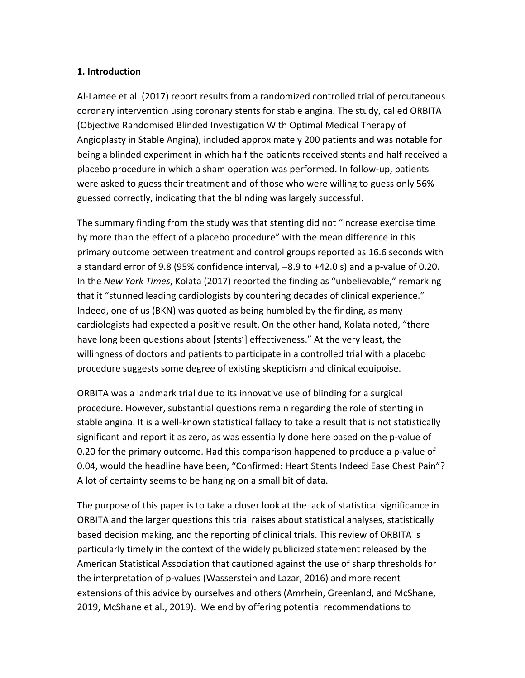#### **1. Introduction**

Al-Lamee et al. (2017) report results from a randomized controlled trial of percutaneous coronary intervention using coronary stents for stable angina. The study, called ORBITA (Objective Randomised Blinded Investigation With Optimal Medical Therapy of Angioplasty in Stable Angina), included approximately 200 patients and was notable for being a blinded experiment in which half the patients received stents and half received a placebo procedure in which a sham operation was performed. In follow-up, patients were asked to guess their treatment and of those who were willing to guess only 56% guessed correctly, indicating that the blinding was largely successful.

The summary finding from the study was that stenting did not "increase exercise time by more than the effect of a placebo procedure" with the mean difference in this primary outcome between treatment and control groups reported as 16.6 seconds with a standard error of 9.8 (95% confidence interval, -8.9 to +42.0 s) and a p-value of 0.20. In the *New York Times*, Kolata (2017) reported the finding as "unbelievable," remarking that it "stunned leading cardiologists by countering decades of clinical experience." Indeed, one of us (BKN) was quoted as being humbled by the finding, as many cardiologists had expected a positive result. On the other hand, Kolata noted, "there have long been questions about [stents'] effectiveness." At the very least, the willingness of doctors and patients to participate in a controlled trial with a placebo procedure suggests some degree of existing skepticism and clinical equipoise.

ORBITA was a landmark trial due to its innovative use of blinding for a surgical procedure. However, substantial questions remain regarding the role of stenting in stable angina. It is a well-known statistical fallacy to take a result that is not statistically significant and report it as zero, as was essentially done here based on the p-value of 0.20 for the primary outcome. Had this comparison happened to produce a p-value of 0.04, would the headline have been, "Confirmed: Heart Stents Indeed Ease Chest Pain"? A lot of certainty seems to be hanging on a small bit of data.

The purpose of this paper is to take a closer look at the lack of statistical significance in ORBITA and the larger questions this trial raises about statistical analyses, statistically based decision making, and the reporting of clinical trials. This review of ORBITA is particularly timely in the context of the widely publicized statement released by the American Statistical Association that cautioned against the use of sharp thresholds for the interpretation of p-values (Wasserstein and Lazar, 2016) and more recent extensions of this advice by ourselves and others (Amrhein, Greenland, and McShane, 2019, McShane et al., 2019). We end by offering potential recommendations to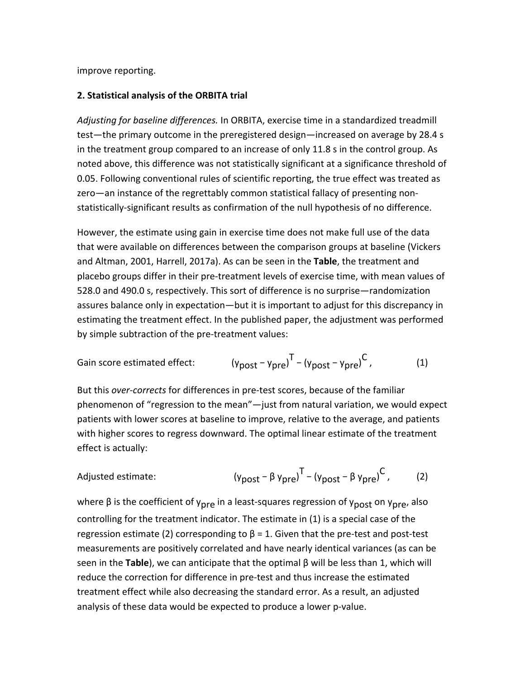improve reporting.

#### **2. Statistical analysis of the ORBITA trial**

*Adjusting for baseline differences.* In ORBITA, exercise time in a standardized treadmill test—the primary outcome in the preregistered design—increased on average by 28.4 s in the treatment group compared to an increase of only 11.8 s in the control group. As noted above, this difference was not statistically significant at a significance threshold of 0.05. Following conventional rules of scientific reporting, the true effect was treated as zero—an instance of the regrettably common statistical fallacy of presenting nonstatistically-significant results as confirmation of the null hypothesis of no difference.

However, the estimate using gain in exercise time does not make full use of the data that were available on differences between the comparison groups at baseline (Vickers and Altman, 2001, Harrell, 2017a). As can be seen in the **Table**, the treatment and placebo groups differ in their pre-treatment levels of exercise time, with mean values of 528.0 and 490.0 s, respectively. This sort of difference is no surprise—randomization assures balance only in expectation—but it is important to adjust for this discrepancy in estimating the treatment effect. In the published paper, the adjustment was performed by simple subtraction of the pre-treatment values:

Gain score estimated effect: 
$$
(y_{post} - y_{pre})^T - (y_{post} - y_{pre})^C
$$
, (1)

But this *over-corrects* for differences in pre-test scores, because of the familiar phenomenon of "regression to the mean"—just from natural variation, we would expect patients with lower scores at baseline to improve, relative to the average, and patients with higher scores to regress downward. The optimal linear estimate of the treatment effect is actually:

Adjusted estimate: 
$$
(y_{post} - β y_{pre})^T - (y_{post} - β y_{pre})^C
$$
, (2)

where β is the coefficient of y<sub>pre</sub> in a least-squares regression of y<sub>post</sub> on y<sub>pre</sub>, also controlling for the treatment indicator. The estimate in (1) is a special case of the regression estimate (2) corresponding to  $β = 1$ . Given that the pre-test and post-test measurements are positively correlated and have nearly identical variances (as can be seen in the **Table**), we can anticipate that the optimal β will be less than 1, which will reduce the correction for difference in pre-test and thus increase the estimated treatment effect while also decreasing the standard error. As a result, an adjusted analysis of these data would be expected to produce a lower p-value.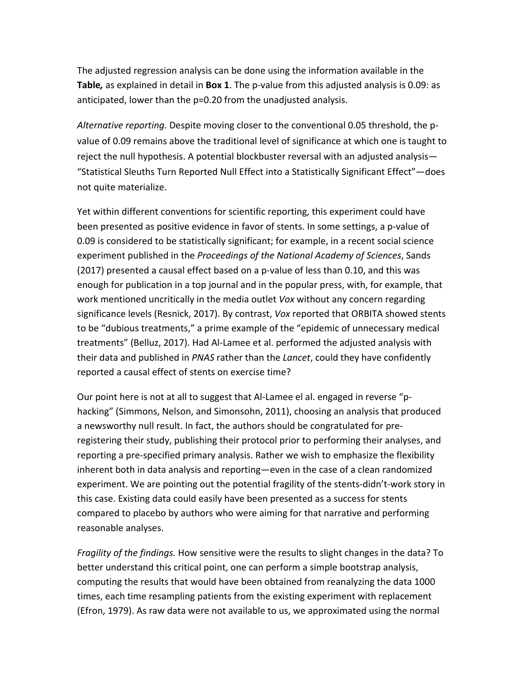The adjusted regression analysis can be done using the information available in the **Table***,* as explained in detail in **Box 1**. The p-value from this adjusted analysis is 0.09: as anticipated, lower than the p=0.20 from the unadjusted analysis.

*Alternative reporting.* Despite moving closer to the conventional 0.05 threshold, the pvalue of 0.09 remains above the traditional level of significance at which one is taught to reject the null hypothesis. A potential blockbuster reversal with an adjusted analysis— "Statistical Sleuths Turn Reported Null Effect into a Statistically Significant Effect"—does not quite materialize.

Yet within different conventions for scientific reporting, this experiment could have been presented as positive evidence in favor of stents. In some settings, a p-value of 0.09 is considered to be statistically significant; for example, in a recent social science experiment published in the *Proceedings of the National Academy of Sciences*, Sands (2017) presented a causal effect based on a p-value of less than 0.10, and this was enough for publication in a top journal and in the popular press, with, for example, that work mentioned uncritically in the media outlet *Vox* without any concern regarding significance levels (Resnick, 2017). By contrast, *Vox* reported that ORBITA showed stents to be "dubious treatments," a prime example of the "epidemic of unnecessary medical treatments" (Belluz, 2017). Had Al-Lamee et al. performed the adjusted analysis with their data and published in *PNAS* rather than the *Lancet*, could they have confidently reported a causal effect of stents on exercise time?

Our point here is not at all to suggest that Al-Lamee el al. engaged in reverse "phacking" (Simmons, Nelson, and Simonsohn, 2011), choosing an analysis that produced a newsworthy null result. In fact, the authors should be congratulated for preregistering their study, publishing their protocol prior to performing their analyses, and reporting a pre-specified primary analysis. Rather we wish to emphasize the flexibility inherent both in data analysis and reporting—even in the case of a clean randomized experiment. We are pointing out the potential fragility of the stents-didn't-work story in this case. Existing data could easily have been presented as a success for stents compared to placebo by authors who were aiming for that narrative and performing reasonable analyses.

*Fragility of the findings.* How sensitive were the results to slight changes in the data? To better understand this critical point, one can perform a simple bootstrap analysis, computing the results that would have been obtained from reanalyzing the data 1000 times, each time resampling patients from the existing experiment with replacement (Efron, 1979). As raw data were not available to us, we approximated using the normal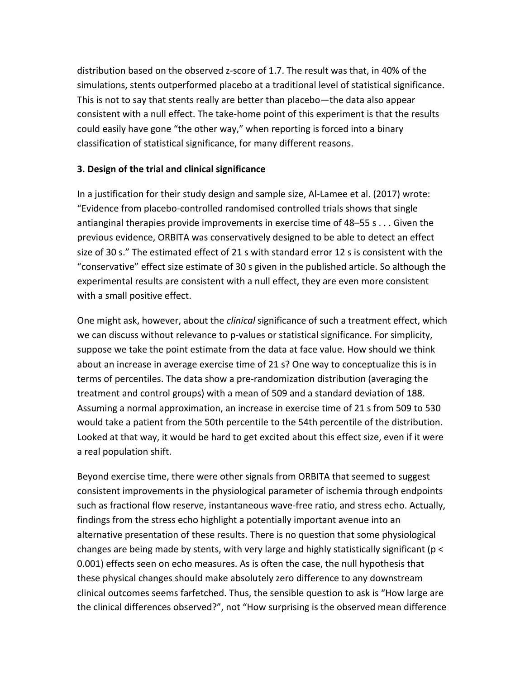distribution based on the observed z-score of 1.7. The result was that, in 40% of the simulations, stents outperformed placebo at a traditional level of statistical significance. This is not to say that stents really are better than placebo—the data also appear consistent with a null effect. The take-home point of this experiment is that the results could easily have gone "the other way," when reporting is forced into a binary classification of statistical significance, for many different reasons.

#### **3. Design of the trial and clinical significance**

In a justification for their study design and sample size, Al-Lamee et al. (2017) wrote: "Evidence from placebo-controlled randomised controlled trials shows that single antianginal therapies provide improvements in exercise time of 48–55 s . . . Given the previous evidence, ORBITA was conservatively designed to be able to detect an effect size of 30 s." The estimated effect of 21 s with standard error 12 s is consistent with the "conservative" effect size estimate of 30 s given in the published article. So although the experimental results are consistent with a null effect, they are even more consistent with a small positive effect.

One might ask, however, about the *clinical* significance of such a treatment effect, which we can discuss without relevance to p-values or statistical significance. For simplicity, suppose we take the point estimate from the data at face value. How should we think about an increase in average exercise time of 21 s? One way to conceptualize this is in terms of percentiles. The data show a pre-randomization distribution (averaging the treatment and control groups) with a mean of 509 and a standard deviation of 188. Assuming a normal approximation, an increase in exercise time of 21 s from 509 to 530 would take a patient from the 50th percentile to the 54th percentile of the distribution. Looked at that way, it would be hard to get excited about this effect size, even if it were a real population shift.

Beyond exercise time, there were other signals from ORBITA that seemed to suggest consistent improvements in the physiological parameter of ischemia through endpoints such as fractional flow reserve, instantaneous wave-free ratio, and stress echo. Actually, findings from the stress echo highlight a potentially important avenue into an alternative presentation of these results. There is no question that some physiological changes are being made by stents, with very large and highly statistically significant (p < 0.001) effects seen on echo measures. As is often the case, the null hypothesis that these physical changes should make absolutely zero difference to any downstream clinical outcomes seems farfetched. Thus, the sensible question to ask is "How large are the clinical differences observed?", not "How surprising is the observed mean difference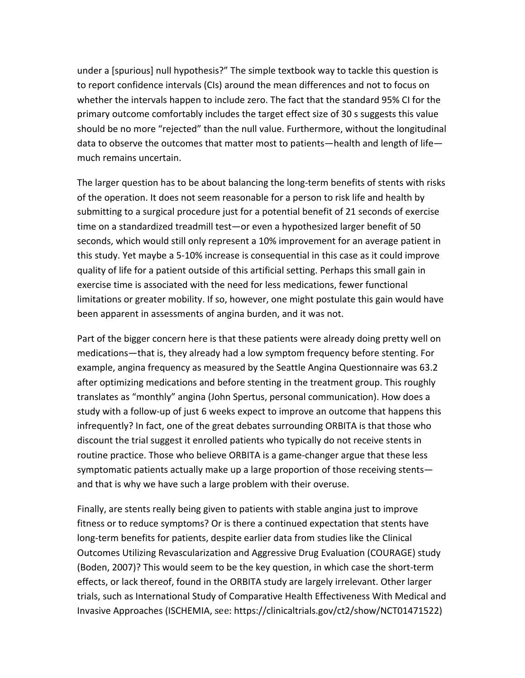under a [spurious] null hypothesis?" The simple textbook way to tackle this question is to report confidence intervals (CIs) around the mean differences and not to focus on whether the intervals happen to include zero. The fact that the standard 95% CI for the primary outcome comfortably includes the target effect size of 30 s suggests this value should be no more "rejected" than the null value. Furthermore, without the longitudinal data to observe the outcomes that matter most to patients—health and length of life much remains uncertain.

The larger question has to be about balancing the long-term benefits of stents with risks of the operation. It does not seem reasonable for a person to risk life and health by submitting to a surgical procedure just for a potential benefit of 21 seconds of exercise time on a standardized treadmill test—or even a hypothesized larger benefit of 50 seconds, which would still only represent a 10% improvement for an average patient in this study. Yet maybe a 5-10% increase is consequential in this case as it could improve quality of life for a patient outside of this artificial setting. Perhaps this small gain in exercise time is associated with the need for less medications, fewer functional limitations or greater mobility. If so, however, one might postulate this gain would have been apparent in assessments of angina burden, and it was not.

Part of the bigger concern here is that these patients were already doing pretty well on medications—that is, they already had a low symptom frequency before stenting. For example, angina frequency as measured by the Seattle Angina Questionnaire was 63.2 after optimizing medications and before stenting in the treatment group. This roughly translates as "monthly" angina (John Spertus, personal communication). How does a study with a follow-up of just 6 weeks expect to improve an outcome that happens this infrequently? In fact, one of the great debates surrounding ORBITA is that those who discount the trial suggest it enrolled patients who typically do not receive stents in routine practice. Those who believe ORBITA is a game-changer argue that these less symptomatic patients actually make up a large proportion of those receiving stents and that is why we have such a large problem with their overuse.

Finally, are stents really being given to patients with stable angina just to improve fitness or to reduce symptoms? Or is there a continued expectation that stents have long-term benefits for patients, despite earlier data from studies like the Clinical Outcomes Utilizing Revascularization and Aggressive Drug Evaluation (COURAGE) study (Boden, 2007)? This would seem to be the key question, in which case the short-term effects, or lack thereof, found in the ORBITA study are largely irrelevant. Other larger trials, such as International Study of Comparative Health Effectiveness With Medical and Invasive Approaches (ISCHEMIA, see: https://clinicaltrials.gov/ct2/show/NCT01471522)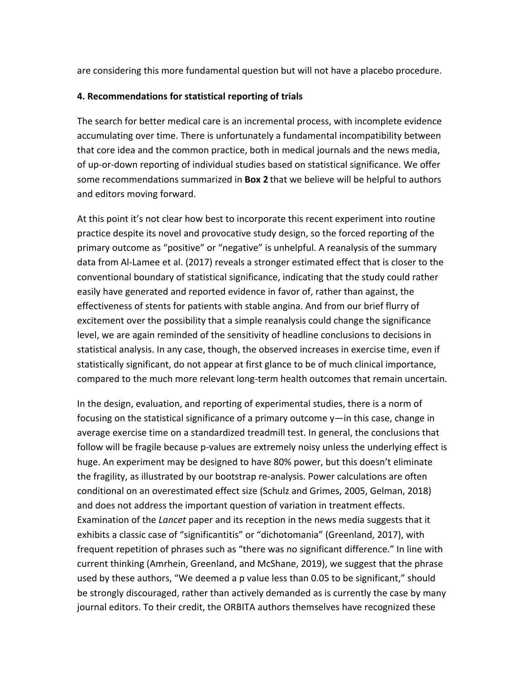are considering this more fundamental question but will not have a placebo procedure.

#### **4. Recommendations for statistical reporting of trials**

The search for better medical care is an incremental process, with incomplete evidence accumulating over time. There is unfortunately a fundamental incompatibility between that core idea and the common practice, both in medical journals and the news media, of up-or-down reporting of individual studies based on statistical significance. We offer some recommendations summarized in **Box 2** that we believe will be helpful to authors and editors moving forward.

At this point it's not clear how best to incorporate this recent experiment into routine practice despite its novel and provocative study design, so the forced reporting of the primary outcome as "positive" or "negative" is unhelpful. A reanalysis of the summary data from Al-Lamee et al. (2017) reveals a stronger estimated effect that is closer to the conventional boundary of statistical significance, indicating that the study could rather easily have generated and reported evidence in favor of, rather than against, the effectiveness of stents for patients with stable angina. And from our brief flurry of excitement over the possibility that a simple reanalysis could change the significance level, we are again reminded of the sensitivity of headline conclusions to decisions in statistical analysis. In any case, though, the observed increases in exercise time, even if statistically significant, do not appear at first glance to be of much clinical importance, compared to the much more relevant long-term health outcomes that remain uncertain.

In the design, evaluation, and reporting of experimental studies, there is a norm of focusing on the statistical significance of a primary outcome y—in this case, change in average exercise time on a standardized treadmill test. In general, the conclusions that follow will be fragile because p-values are extremely noisy unless the underlying effect is huge. An experiment may be designed to have 80% power, but this doesn't eliminate the fragility, as illustrated by our bootstrap re-analysis. Power calculations are often conditional on an overestimated effect size (Schulz and Grimes, 2005, Gelman, 2018) and does not address the important question of variation in treatment effects. Examination of the *Lancet* paper and its reception in the news media suggests that it exhibits a classic case of "significantitis" or "dichotomania" (Greenland, 2017), with frequent repetition of phrases such as "there was no significant difference." In line with current thinking (Amrhein, Greenland, and McShane, 2019), we suggest that the phrase used by these authors, "We deemed a p value less than 0.05 to be significant," should be strongly discouraged, rather than actively demanded as is currently the case by many journal editors. To their credit, the ORBITA authors themselves have recognized these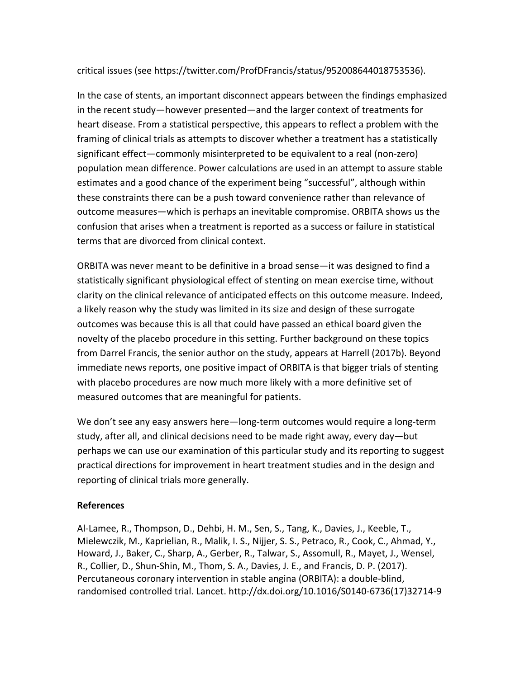### critical issues (see https://twitter.com/ProfDFrancis/status/952008644018753536).

In the case of stents, an important disconnect appears between the findings emphasized in the recent study—however presented—and the larger context of treatments for heart disease. From a statistical perspective, this appears to reflect a problem with the framing of clinical trials as attempts to discover whether a treatment has a statistically significant effect—commonly misinterpreted to be equivalent to a real (non-zero) population mean difference. Power calculations are used in an attempt to assure stable estimates and a good chance of the experiment being "successful", although within these constraints there can be a push toward convenience rather than relevance of outcome measures—which is perhaps an inevitable compromise. ORBITA shows us the confusion that arises when a treatment is reported as a success or failure in statistical terms that are divorced from clinical context.

ORBITA was never meant to be definitive in a broad sense—it was designed to find a statistically significant physiological effect of stenting on mean exercise time, without clarity on the clinical relevance of anticipated effects on this outcome measure. Indeed, a likely reason why the study was limited in its size and design of these surrogate outcomes was because this is all that could have passed an ethical board given the novelty of the placebo procedure in this setting. Further background on these topics from Darrel Francis, the senior author on the study, appears at Harrell (2017b). Beyond immediate news reports, one positive impact of ORBITA is that bigger trials of stenting with placebo procedures are now much more likely with a more definitive set of measured outcomes that are meaningful for patients.

We don't see any easy answers here—long-term outcomes would require a long-term study, after all, and clinical decisions need to be made right away, every day—but perhaps we can use our examination of this particular study and its reporting to suggest practical directions for improvement in heart treatment studies and in the design and reporting of clinical trials more generally.

#### **References**

Al-Lamee, R., Thompson, D., Dehbi, H. M., Sen, S., Tang, K., Davies, J., Keeble, T., Mielewczik, M., Kaprielian, R., Malik, I. S., Nijjer, S. S., Petraco, R., Cook, C., Ahmad, Y., Howard, J., Baker, C., Sharp, A., Gerber, R., Talwar, S., Assomull, R., Mayet, J., Wensel, R., Collier, D., Shun-Shin, M., Thom, S. A., Davies, J. E., and Francis, D. P. (2017). Percutaneous coronary intervention in stable angina (ORBITA): a double-blind, randomised controlled trial. Lancet. http://dx.doi.org/10.1016/S0140-6736(17)32714-9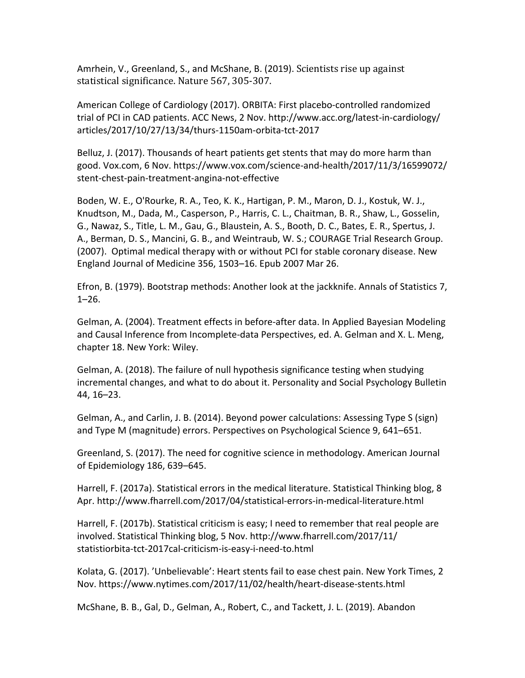Amrhein, V., Greenland, S., and McShane, B. (2019). Scientists rise up against statistical significance. Nature 567, 305-307.

American College of Cardiology (2017). ORBITA: First placebo-controlled randomized trial of PCI in CAD patients. ACC News, 2 Nov. http://www.acc.org/latest-in-cardiology/ articles/2017/10/27/13/34/thurs-1150am-orbita-tct-2017

Belluz, J. (2017). Thousands of heart patients get stents that may do more harm than good. Vox.com, 6 Nov. https://www.vox.com/science-and-health/2017/11/3/16599072/ stent-chest-pain-treatment-angina-not-effective

Boden, W. E., O'Rourke, R. A., Teo, K. K., Hartigan, P. M., Maron, D. J., Kostuk, W. J., Knudtson, M., Dada, M., Casperson, P., Harris, C. L., Chaitman, B. R., Shaw, L., Gosselin, G., Nawaz, S., Title, L. M., Gau, G., Blaustein, A. S., Booth, D. C., Bates, E. R., Spertus, J. A., Berman, D. S., Mancini, G. B., and Weintraub, W. S.; COURAGE Trial Research Group. (2007). Optimal medical therapy with or without PCI for stable coronary disease. New England Journal of Medicine 356, 1503–16. Epub 2007 Mar 26.

Efron, B. (1979). Bootstrap methods: Another look at the jackknife. Annals of Statistics 7,  $1 - 26$ .

Gelman, A. (2004). Treatment effects in before-after data. In Applied Bayesian Modeling and Causal Inference from Incomplete-data Perspectives, ed. A. Gelman and X. L. Meng, chapter 18. New York: Wiley.

Gelman, A. (2018). The failure of null hypothesis significance testing when studying incremental changes, and what to do about it. Personality and Social Psychology Bulletin 44, 16–23.

Gelman, A., and Carlin, J. B. (2014). Beyond power calculations: Assessing Type S (sign) and Type M (magnitude) errors. Perspectives on Psychological Science 9, 641–651.

Greenland, S. (2017). The need for cognitive science in methodology. American Journal of Epidemiology 186, 639–645.

Harrell, F. (2017a). Statistical errors in the medical literature. Statistical Thinking blog, 8 Apr. http://www.fharrell.com/2017/04/statistical-errors-in-medical-literature.html

Harrell, F. (2017b). Statistical criticism is easy; I need to remember that real people are involved. Statistical Thinking blog, 5 Nov. http://www.fharrell.com/2017/11/ statistiorbita-tct-2017cal-criticism-is-easy-i-need-to.html

Kolata, G. (2017). 'Unbelievable': Heart stents fail to ease chest pain. New York Times, 2 Nov. https://www.nytimes.com/2017/11/02/health/heart-disease-stents.html

McShane, B. B., Gal, D., Gelman, A., Robert, C., and Tackett, J. L. (2019). Abandon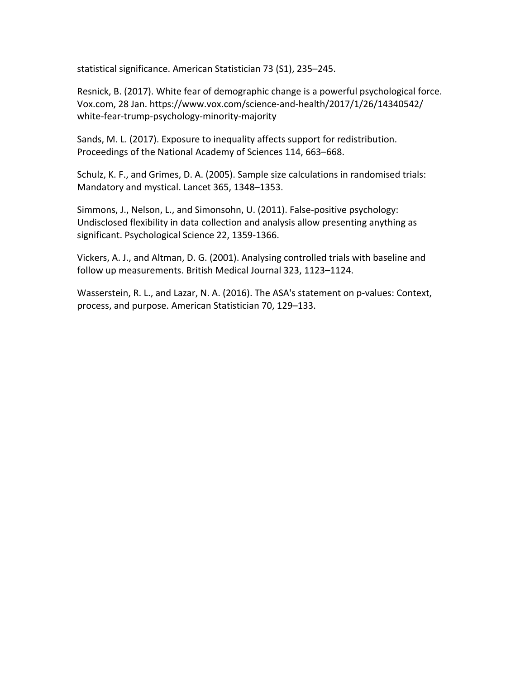statistical significance. American Statistician 73 (S1), 235–245.

Resnick, B. (2017). White fear of demographic change is a powerful psychological force. Vox.com, 28 Jan. https://www.vox.com/science-and-health/2017/1/26/14340542/ white-fear-trump-psychology-minority-majority

Sands, M. L. (2017). Exposure to inequality affects support for redistribution. Proceedings of the National Academy of Sciences 114, 663–668.

Schulz, K. F., and Grimes, D. A. (2005). Sample size calculations in randomised trials: Mandatory and mystical. Lancet 365, 1348–1353.

Simmons, J., Nelson, L., and Simonsohn, U. (2011). False-positive psychology: Undisclosed flexibility in data collection and analysis allow presenting anything as significant. Psychological Science 22, 1359-1366.

Vickers, A. J., and Altman, D. G. (2001). Analysing controlled trials with baseline and follow up measurements. British Medical Journal 323, 1123–1124.

Wasserstein, R. L., and Lazar, N. A. (2016). The ASA's statement on p-values: Context, process, and purpose. American Statistician 70, 129–133.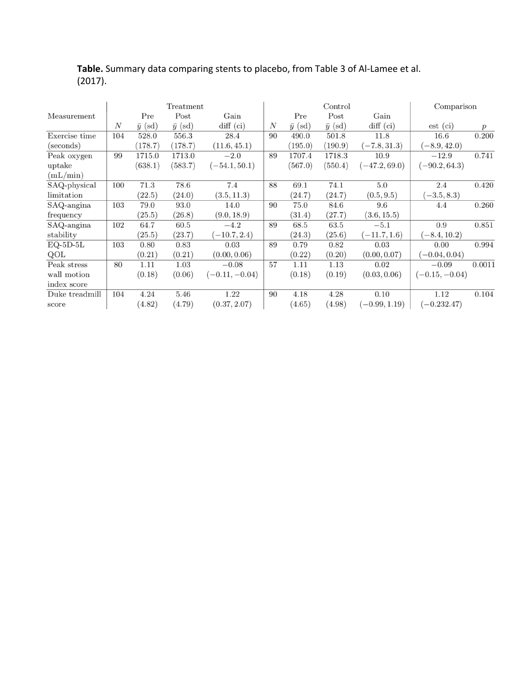| Treatment      |     |                |                |                  | Control |                |                |                 | Comparison       |        |
|----------------|-----|----------------|----------------|------------------|---------|----------------|----------------|-----------------|------------------|--------|
| Measurement    |     | Pre            | Post           | Gain             |         | Pre            | Post           | Gain            |                  |        |
|                | N   | $\bar{y}$ (sd) | $\bar{y}$ (sd) | $diff$ (ci)      | N       | $\bar{y}$ (sd) | $\bar{y}$ (sd) | $diff$ (ci)     | $est$ (ci)       | p      |
| Exercise time  | 104 | 528.0          | 556.3          | 28.4             | 90      | 490.0          | 501.8          | 11.8            | 16.6             | 0.200  |
| (seconds)      |     | (178.7)        | (178.7)        | (11.6, 45.1)     |         | (195.0)        | (190.9)        | $(-7.8, 31.3)$  | $(-8.9, 42.0)$   |        |
| Peak oxygen    | 99  | 1715.0         | 1713.0         | $-2.0$           | 89      | 1707.4         | 1718.3         | 10.9            | $-12.9$          | 0.741  |
| uptake         |     | (638.1)        | (583.7)        | $(-54.1, 50.1)$  |         | (567.0)        | (550.4)        | $(-47.2, 69.0)$ | $(-90.2, 64.3)$  |        |
| (mL/min)       |     |                |                |                  |         |                |                |                 |                  |        |
| SAQ-physical   | 100 | 71.3           | 78.6           | 7.4              | 88      | 69.1           | 74.1           | 5.0             | 2.4              | 0.420  |
| limitation     |     | (22.5)         | (24.0)         | (3.5, 11.3)      |         | (24.7)         | (24.7)         | (0.5, 9.5)      | $(-3.5, 8.3)$    |        |
| SAQ-angina     | 103 | 79.0           | 93.0           | 14.0             | 90      | 75.0           | 84.6           | 9.6             | 4.4              | 0.260  |
| frequency      |     | (25.5)         | (26.8)         | (9.0, 18.9)      |         | (31.4)         | (27.7)         | (3.6, 15.5)     |                  |        |
| SAQ-angina     | 102 | 64.7           | 60.5           | $-4.2$           | 89      | 68.5           | 63.5           | $-5.1$          | 0.9              | 0.851  |
| stability      |     | (25.5)         | (23.7)         | $(-10.7, 2.4)$   |         | (24.3)         | (25.6)         | $(-11.7, 1.6)$  | $(-8.4, 10.2)$   |        |
| $EQ-5D-5L$     | 103 | 0.80           | 0.83           | 0.03             | 89      | 0.79           | 0.82           | 0.03            | 0.00             | 0.994  |
| QOL            |     | (0.21)         | (0.21)         | (0.00, 0.06)     |         | (0.22)         | (0.20)         | (0.00, 0.07)    | $(-0.04, 0.04)$  |        |
| Peak stress    | 80  | 1.11           | 1.03           | $-0.08$          | 57      | 1.11           | 1.13           | 0.02            | $-0.09$          | 0.0011 |
| wall motion    |     | (0.18)         | (0.06)         | $(-0.11, -0.04)$ |         | (0.18)         | (0.19)         | (0.03, 0.06)    | $(-0.15, -0.04)$ |        |
| index score    |     |                |                |                  |         |                |                |                 |                  |        |
| Duke treadmill | 104 | 4.24           | 5.46           | 1.22             | 90      | 4.18           | 4.28           | 0.10            | 1.12             | 0.104  |
| score          |     | (4.82)         | (4.79)         | (0.37, 2.07)     |         | (4.65)         | (4.98)         | $(-0.99, 1.19)$ | $(-0.232.47)$    |        |

# **Table.** Summary data comparing stents to placebo, from Table 3 of Al-Lamee et al. (2017).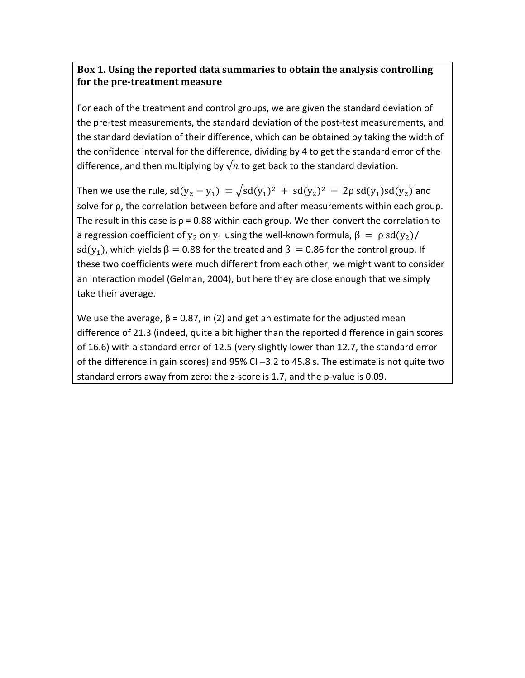## Box 1. Using the reported data summaries to obtain the analysis controlling **for the pre-treatment measure**

For each of the treatment and control groups, we are given the standard deviation of the pre-test measurements, the standard deviation of the post-test measurements, and the standard deviation of their difference, which can be obtained by taking the width of the confidence interval for the difference, dividing by 4 to get the standard error of the difference, and then multiplying by  $\sqrt{n}$  to get back to the standard deviation.

Then we use the rule,  $sd(y_2 - y_1) = \sqrt{sd(y_1)^2 + sd(y_2)^2 - 2\rho sd(y_1)sd(y_2)}$  and solve for ρ, the correlation between before and after measurements within each group. The result in this case is  $p = 0.88$  within each group. We then convert the correlation to a regression coefficient of  $y_2$  on  $y_1$  using the well-known formula,  $\beta = \rho \, \text{sd}(y_2) / \sqrt{\frac{\rho^2}{n}}$ sd(y<sub>1</sub>), which yields  $\beta = 0.88$  for the treated and  $\beta = 0.86$  for the control group. If these two coefficients were much different from each other, we might want to consider an interaction model (Gelman, 2004), but here they are close enough that we simply take their average.

We use the average,  $\beta$  = 0.87, in (2) and get an estimate for the adjusted mean difference of 21.3 (indeed, quite a bit higher than the reported difference in gain scores of 16.6) with a standard error of 12.5 (very slightly lower than 12.7, the standard error of the difference in gain scores) and 95% CI $-3.2$  to 45.8 s. The estimate is not quite two standard errors away from zero: the z-score is 1.7, and the p-value is 0.09.